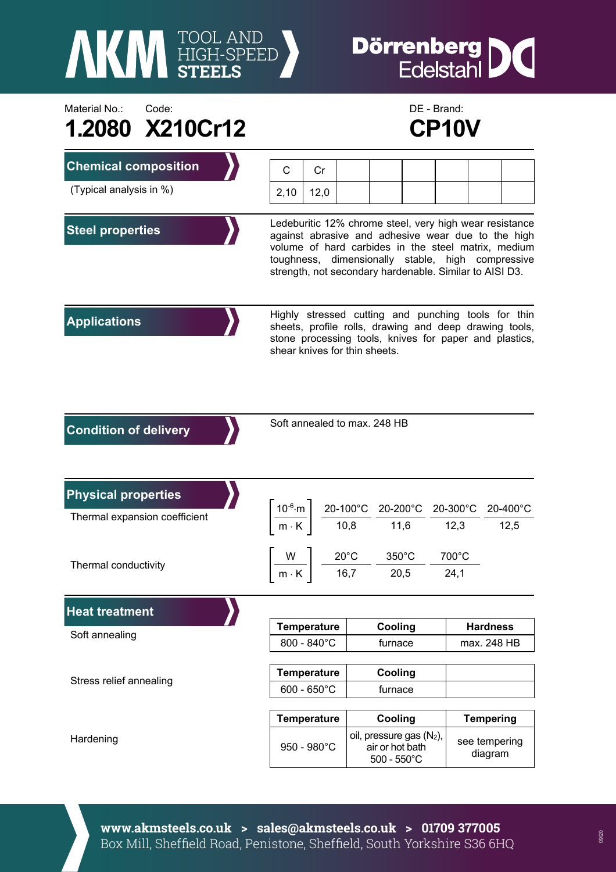

## **Dörrenberg DC**<br>Edelstahl

| Material No.:<br>Code:        |                   | DE - Brand:                                                                                                                                                                                                                                                                          |  |                                                                     |  |                          |          |  |
|-------------------------------|-------------------|--------------------------------------------------------------------------------------------------------------------------------------------------------------------------------------------------------------------------------------------------------------------------------------|--|---------------------------------------------------------------------|--|--------------------------|----------|--|
| 1.2080 X210Cr12               |                   |                                                                                                                                                                                                                                                                                      |  |                                                                     |  | CP10V                    |          |  |
| <b>Chemical composition</b>   | $\mathsf{C}$      | Cr                                                                                                                                                                                                                                                                                   |  |                                                                     |  |                          |          |  |
| (Typical analysis in %)       | 2,10              | 12,0                                                                                                                                                                                                                                                                                 |  |                                                                     |  |                          |          |  |
| <b>Steel properties</b>       |                   | Ledeburitic 12% chrome steel, very high wear resistance<br>against abrasive and adhesive wear due to the high<br>volume of hard carbides in the steel matrix, medium<br>toughness, dimensionally stable, high compressive<br>strength, not secondary hardenable. Similar to AISI D3. |  |                                                                     |  |                          |          |  |
| <b>Applications</b>           |                   | Highly stressed cutting and punching tools for thin<br>sheets, profile rolls, drawing and deep drawing tools,<br>stone processing tools, knives for paper and plastics,<br>shear knives for thin sheets.                                                                             |  |                                                                     |  |                          |          |  |
| <b>Condition of delivery</b>  |                   | Soft annealed to max. 248 HB                                                                                                                                                                                                                                                         |  |                                                                     |  |                          |          |  |
| <b>Physical properties</b>    |                   |                                                                                                                                                                                                                                                                                      |  |                                                                     |  |                          |          |  |
| Thermal expansion coefficient | $10^{-6} \cdot m$ | $\frac{20-100\degree \text{C}}{10,8} \frac{20-200\degree \text{C}}{11,6} \frac{20-300\degree \text{C}}{12,3}$                                                                                                                                                                        |  |                                                                     |  |                          | 20-400°C |  |
|                               | $m \cdot K$       |                                                                                                                                                                                                                                                                                      |  |                                                                     |  |                          | 12,5     |  |
| Thermal conductivity          | W                 | $20^{\circ}$ C                                                                                                                                                                                                                                                                       |  | $350^{\circ}$ C                                                     |  | 700°C                    |          |  |
|                               | $m \cdot K$       | 16,7                                                                                                                                                                                                                                                                                 |  | 20,5                                                                |  | 24,1                     |          |  |
| <b>Heat treatment</b>         |                   |                                                                                                                                                                                                                                                                                      |  |                                                                     |  |                          |          |  |
| Soft annealing                |                   | <b>Temperature</b>                                                                                                                                                                                                                                                                   |  | Cooling                                                             |  | <b>Hardness</b>          |          |  |
|                               |                   | 800 - 840°C                                                                                                                                                                                                                                                                          |  | furnace                                                             |  | max. 248 HB              |          |  |
| Stress relief annealing       |                   | <b>Temperature</b>                                                                                                                                                                                                                                                                   |  | Cooling                                                             |  |                          |          |  |
|                               |                   | $600 - 650^{\circ}$ C                                                                                                                                                                                                                                                                |  | furnace                                                             |  |                          |          |  |
|                               |                   | <b>Temperature</b>                                                                                                                                                                                                                                                                   |  | Cooling                                                             |  | <b>Tempering</b>         |          |  |
| Hardening                     |                   | 950 - 980°C                                                                                                                                                                                                                                                                          |  | oil, pressure gas (N2),<br>air or hot bath<br>$500 - 550^{\circ}$ C |  | see tempering<br>diagram |          |  |

**www.akmsteels.co.uk > sales@akmsteels.co.uk > 01709 377005**  Box Mill, Sheffield Road, Penistone, Sheffield, South Yorkshire S36 6HQ